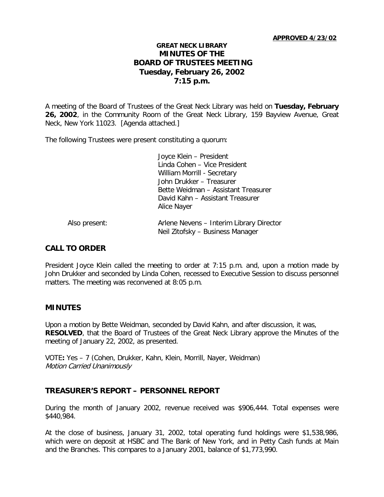#### **APPROVED 4/23/02**

# **GREAT NECK LIBRARY MINUTES OF THE BOARD OF TRUSTEES MEETING Tuesday, February 26, 2002 7:15 p.m.**

A meeting of the Board of Trustees of the Great Neck Library was held on **Tuesday, February 26, 2002**, in the Community Room of the Great Neck Library, 159 Bayview Avenue, Great Neck, New York 11023. [Agenda attached.]

The following Trustees were present constituting a quorum:

Joyce Klein – President Linda Cohen – Vice President William Morrill - Secretary John Drukker – Treasurer Bette Weidman – Assistant Treasurer David Kahn – Assistant Treasurer Alice Nayer

| Also present: | Arlene Nevens - Interim Library Director |
|---------------|------------------------------------------|
|               | Neil Zitofsky – Business Manager         |

## **CALL TO ORDER**

President Joyce Klein called the meeting to order at 7:15 p.m. and, upon a motion made by John Drukker and seconded by Linda Cohen, recessed to Executive Session to discuss personnel matters. The meeting was reconvened at 8:05 p.m.

#### **MINUTES**

Upon a motion by Bette Weidman, seconded by David Kahn, and after discussion, it was, **RESOLVED**, that the Board of Trustees of the Great Neck Library approve the Minutes of the meeting of January 22, 2002, as presented.

VOTE**:** Yes – 7 (Cohen, Drukker, Kahn, Klein, Morrill, Nayer, Weidman) Motion Carried Unanimously

## **TREASURER'S REPORT – PERSONNEL REPORT**

During the month of January 2002, revenue received was \$906,444. Total expenses were \$440,984.

At the close of business, January 31, 2002, total operating fund holdings were \$1,538,986, which were on deposit at HSBC and The Bank of New York, and in Petty Cash funds at Main and the Branches. This compares to a January 2001, balance of \$1,773,990.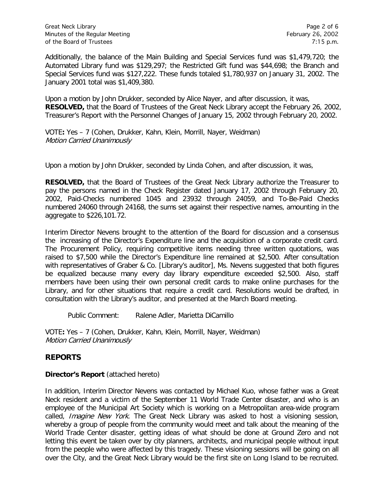Additionally, the balance of the Main Building and Special Services fund was \$1,479,720; the Automated Library fund was \$129,297; the Restricted Gift fund was \$44,698; the Branch and Special Services fund was \$127,222. These funds totaled \$1,780,937 on January 31, 2002. The January 2001 total was \$1,409,380.

Upon a motion by John Drukker, seconded by Alice Nayer, and after discussion, it was, **RESOLVED,** that the Board of Trustees of the Great Neck Library accept the February 26, 2002, Treasurer's Report with the Personnel Changes of January 15, 2002 through February 20, 2002.

VOTE**:** Yes – 7 (Cohen, Drukker, Kahn, Klein, Morrill, Nayer, Weidman) Motion Carried Unanimously

Upon a motion by John Drukker, seconded by Linda Cohen, and after discussion, it was,

**RESOLVED,** that the Board of Trustees of the Great Neck Library authorize the Treasurer to pay the persons named in the Check Register dated January 17, 2002 through February 20, 2002, Paid-Checks numbered 1045 and 23932 through 24059, and To-Be-Paid Checks numbered 24060 through 24168, the sums set against their respective names, amounting in the aggregate to \$226,101.72.

Interim Director Nevens brought to the attention of the Board for discussion and a consensus the increasing of the Director's Expenditure line and the acquisition of a corporate credit card. The Procurement Policy, requiring competitive items needing three written quotations, was raised to \$7,500 while the Director's Expenditure line remained at \$2,500. After consultation with representatives of Graber & Co. [Library's auditor], Ms. Nevens suggested that both figures be equalized because many every day library expenditure exceeded \$2,500. Also, staff members have been using their own personal credit cards to make online purchases for the Library, and for other situations that require a credit card. Resolutions would be drafted, in consultation with the Library's auditor, and presented at the March Board meeting.

Public Comment: Ralene Adler, Marietta DiCamillo

VOTE**:** Yes – 7 (Cohen, Drukker, Kahn, Klein, Morrill, Nayer, Weidman) Motion Carried Unanimously

# **REPORTS**

## **Director's Report** (attached hereto)

In addition, Interim Director Nevens was contacted by Michael Kuo, whose father was a Great Neck resident and a victim of the September 11 World Trade Center disaster, and who is an employee of the Municipal Art Society which is working on a Metropolitan area-wide program called, *Imagine New York*. The Great Neck Library was asked to host a visioning session, whereby a group of people from the community would meet and talk about the meaning of the World Trade Center disaster, getting ideas of what should be done at Ground Zero and not letting this event be taken over by city planners, architects, and municipal people without input from the people who were affected by this tragedy. These visioning sessions will be going on all over the City, and the Great Neck Library would be the first site on Long Island to be recruited.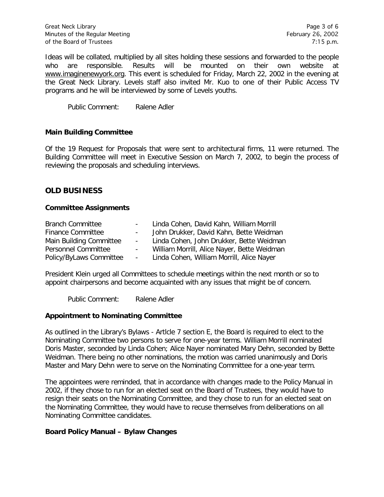Great Neck Library **Page 3 of 6** and the state of  $\alpha$  and  $\alpha$  and  $\alpha$  and  $\alpha$  and  $\alpha$  and  $\alpha$  and  $\alpha$  and  $\alpha$  and  $\alpha$  and  $\alpha$  and  $\alpha$  and  $\alpha$  and  $\alpha$  and  $\alpha$  and  $\alpha$  and  $\alpha$  and  $\alpha$  and  $\alpha$  and  $\alpha$  and Minutes of the Regular Meeting February 26, 2002 of the Board of Trustees 7:15 p.m.

Ideas will be collated, multiplied by all sites holding these sessions and forwarded to the people who are responsible. Results will be mounted on their own website at www.imaginenewyork.org. This event is scheduled for Friday, March 22, 2002 in the evening at the Great Neck Library. Levels staff also invited Mr. Kuo to one of their Public Access TV programs and he will be interviewed by some of Levels youths.

Public Comment: Ralene Adler

#### **Main Building Committee**

Of the 19 Request for Proposals that were sent to architectural firms, 11 were returned. The Building Committee will meet in Executive Session on March 7, 2002, to begin the process of reviewing the proposals and scheduling interviews.

## **OLD BUSINESS**

#### **Committee Assignments**

| <b>Branch Committee</b>  |                 | Linda Cohen, David Kahn, William Morrill    |
|--------------------------|-----------------|---------------------------------------------|
| <b>Finance Committee</b> |                 | John Drukker, David Kahn, Bette Weidman     |
| Main Building Committee  | $\sim$ 10 $\pm$ | Linda Cohen, John Drukker, Bette Weidman    |
| Personnel Committee      | $\sim$          | William Morrill, Alice Nayer, Bette Weidman |
| Policy/ByLaws Committee  | $\sim 100$      | Linda Cohen, William Morrill, Alice Nayer   |

President Klein urged all Committees to schedule meetings within the next month or so to appoint chairpersons and become acquainted with any issues that might be of concern.

Public Comment: Ralene Adler

#### **Appointment to Nominating Committee**

As outlined in the Library's Bylaws - Artlcle 7 section E, the Board is required to elect to the Nominating Committee two persons to serve for one-year terms. William Morrill nominated Doris Master, seconded by Linda Cohen; Alice Nayer nominated Mary Dehn, seconded by Bette Weidman. There being no other nominations, the motion was carried unanimously and Doris Master and Mary Dehn were to serve on the Nominating Committee for a one-year term.

The appointees were reminded, that in accordance with changes made to the Policy Manual in 2002, if they chose to run for an elected seat on the Board of Trustees, they would have to resign their seats on the Nominating Committee, and they chose to run for an elected seat on the Nominating Committee, they would have to recuse themselves from deliberations on all Nominating Committee candidates.

#### **Board Policy Manual – Bylaw Changes**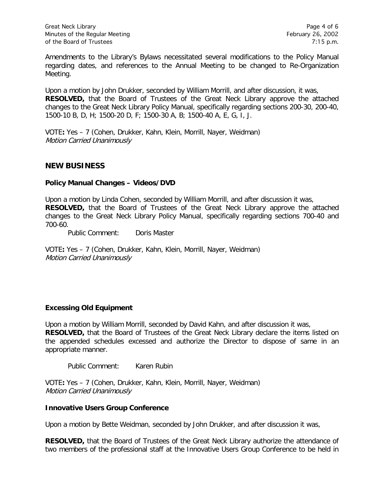Amendments to the Library's Bylaws necessitated several modifications to the Policy Manual regarding dates, and references to the Annual Meeting to be changed to Re-Organization Meeting.

Upon a motion by John Drukker, seconded by William Morrill, and after discussion, it was, **RESOLVED,** that the Board of Trustees of the Great Neck Library approve the attached changes to the Great Neck Library Policy Manual, specifically regarding sections 200-30, 200-40, 1500-10 B, D, H; 1500-20 D, F; 1500-30 A, B; 1500-40 A, E, G, I, J.

VOTE**:** Yes – 7 (Cohen, Drukker, Kahn, Klein, Morrill, Nayer, Weidman) Motion Carried Unanimously

## **NEW BUSINESS**

### **Policy Manual Changes – Videos/DVD**

Upon a motion by Linda Cohen, seconded by William Morrill, and after discussion it was, **RESOLVED,** that the Board of Trustees of the Great Neck Library approve the attached changes to the Great Neck Library Policy Manual, specifically regarding sections 700-40 and 700-60.

Public Comment: Doris Master

VOTE**:** Yes – 7 (Cohen, Drukker, Kahn, Klein, Morrill, Nayer, Weidman) Motion Carried Unanimously

## **Excessing Old Equipment**

Upon a motion by William Morrill, seconded by David Kahn, and after discussion it was, **RESOLVED,** that the Board of Trustees of the Great Neck Library declare the items listed on the appended schedules excessed and authorize the Director to dispose of same in an appropriate manner.

Public Comment: Karen Rubin

VOTE**:** Yes – 7 (Cohen, Drukker, Kahn, Klein, Morrill, Nayer, Weidman) Motion Carried Unanimously

#### **Innovative Users Group Conference**

Upon a motion by Bette Weidman, seconded by John Drukker, and after discussion it was,

**RESOLVED,** that the Board of Trustees of the Great Neck Library authorize the attendance of two members of the professional staff at the Innovative Users Group Conference to be held in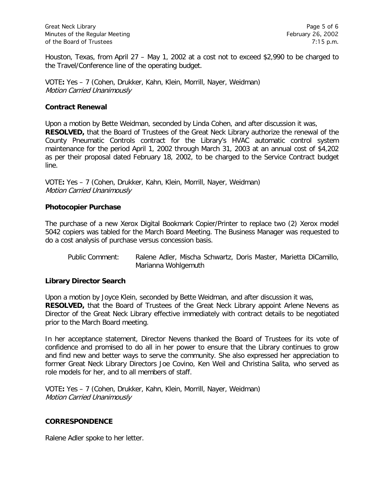Houston, Texas, from April 27 – May 1, 2002 at a cost not to exceed \$2,990 to be charged to the Travel/Conference line of the operating budget.

VOTE**:** Yes – 7 (Cohen, Drukker, Kahn, Klein, Morrill, Nayer, Weidman) Motion Carried Unanimously

#### **Contract Renewal**

Upon a motion by Bette Weidman, seconded by Linda Cohen, and after discussion it was, **RESOLVED,** that the Board of Trustees of the Great Neck Library authorize the renewal of the County Pneumatic Controls contract for the Library's HVAC automatic control system maintenance for the period April 1, 2002 through March 31, 2003 at an annual cost of \$4,202 as per their proposal dated February 18, 2002, to be charged to the Service Contract budget line.

VOTE**:** Yes – 7 (Cohen, Drukker, Kahn, Klein, Morrill, Nayer, Weidman) Motion Carried Unanimously

## **Photocopier Purchase**

The purchase of a new Xerox Digital Bookmark Copier/Printer to replace two (2) Xerox model 5042 copiers was tabled for the March Board Meeting. The Business Manager was requested to do a cost analysis of purchase versus concession basis.

Public Comment: Ralene Adler, Mischa Schwartz, Doris Master, Marietta DiCamillo, Marianna Wohlgemuth

## **Library Director Search**

Upon a motion by Joyce Klein, seconded by Bette Weidman, and after discussion it was, **RESOLVED,** that the Board of Trustees of the Great Neck Library appoint Arlene Nevens as Director of the Great Neck Library effective immediately with contract details to be negotiated prior to the March Board meeting.

In her acceptance statement, Director Nevens thanked the Board of Trustees for its vote of confidence and promised to do all in her power to ensure that the Library continues to grow and find new and better ways to serve the community. She also expressed her appreciation to former Great Neck Library Directors Joe Covino, Ken Weil and Christina Salita, who served as role models for her, and to all members of staff.

VOTE**:** Yes – 7 (Cohen, Drukker, Kahn, Klein, Morrill, Nayer, Weidman) Motion Carried Unanimously

#### **CORRESPONDENCE**

Ralene Adler spoke to her letter.